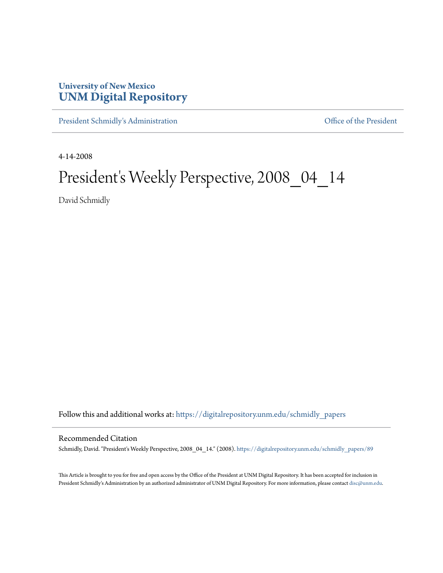## **University of New Mexico [UNM Digital Repository](https://digitalrepository.unm.edu?utm_source=digitalrepository.unm.edu%2Fschmidly_papers%2F89&utm_medium=PDF&utm_campaign=PDFCoverPages)**

[President Schmidly's Administration](https://digitalrepository.unm.edu/schmidly_papers?utm_source=digitalrepository.unm.edu%2Fschmidly_papers%2F89&utm_medium=PDF&utm_campaign=PDFCoverPages) [Office of the President](https://digitalrepository.unm.edu/ofc_president?utm_source=digitalrepository.unm.edu%2Fschmidly_papers%2F89&utm_medium=PDF&utm_campaign=PDFCoverPages)

4-14-2008

## President's Weekly Perspective, 2008\_04\_14

David Schmidly

Follow this and additional works at: [https://digitalrepository.unm.edu/schmidly\\_papers](https://digitalrepository.unm.edu/schmidly_papers?utm_source=digitalrepository.unm.edu%2Fschmidly_papers%2F89&utm_medium=PDF&utm_campaign=PDFCoverPages)

## Recommended Citation

Schmidly, David. "President's Weekly Perspective, 2008\_04\_14." (2008). [https://digitalrepository.unm.edu/schmidly\\_papers/89](https://digitalrepository.unm.edu/schmidly_papers/89?utm_source=digitalrepository.unm.edu%2Fschmidly_papers%2F89&utm_medium=PDF&utm_campaign=PDFCoverPages)

This Article is brought to you for free and open access by the Office of the President at UNM Digital Repository. It has been accepted for inclusion in President Schmidly's Administration by an authorized administrator of UNM Digital Repository. For more information, please contact [disc@unm.edu](mailto:disc@unm.edu).